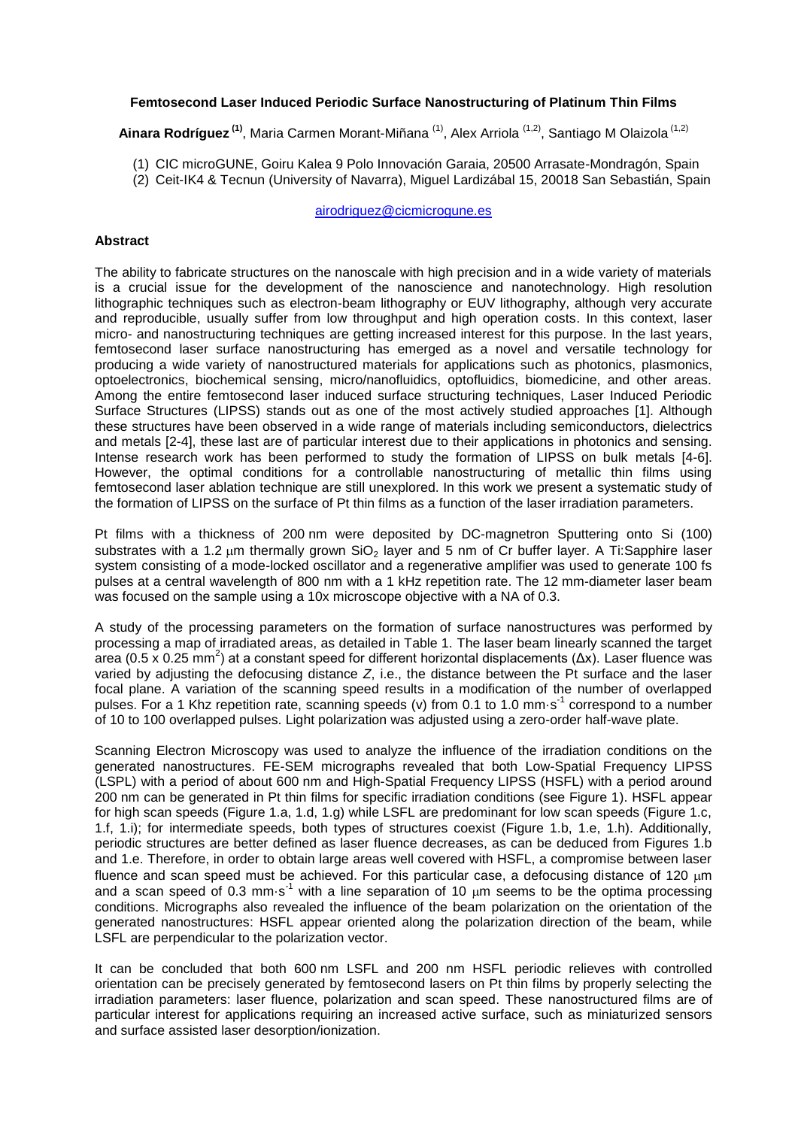## **Femtosecond Laser Induced Periodic Surface Nanostructuring of Platinum Thin Films**

Ainara Rodríguez<sup>(1)</sup>, Maria Carmen Morant-Miñana <sup>(1)</sup>, Alex Arriola <sup>(1,2)</sup>, Santiago M Olaizola <sup>(1,2)</sup>

- (1) CIC microGUNE, Goiru Kalea 9 Polo Innovación Garaia, 20500 Arrasate-Mondragón, Spain
- (2) Ceit-IK4 & Tecnun (University of Navarra), Miguel Lardizábal 15, 20018 San Sebastián, Spain

[airodriguez@cicmicrogune.es](mailto:airodriguez@cicmicrogune.es)

## **Abstract**

The ability to fabricate structures on the nanoscale with high precision and in a wide variety of materials is a crucial issue for the development of the nanoscience and nanotechnology. High resolution lithographic techniques such as electron-beam lithography or EUV lithography, although very accurate and reproducible, usually suffer from low throughput and high operation costs. In this context, laser micro- and nanostructuring techniques are getting increased interest for this purpose. In the last years, femtosecond laser surface nanostructuring has emerged as a novel and versatile technology for producing a wide variety of nanostructured materials for applications such as photonics, plasmonics, optoelectronics, biochemical sensing, micro/nanofluidics, optofluidics, biomedicine, and other areas. Among the entire femtosecond laser induced surface structuring techniques, Laser Induced Periodic Surface Structures (LIPSS) stands out as one of the most actively studied approaches [1]. Although these structures have been observed in a wide range of materials including semiconductors, dielectrics and metals [2-4], these last are of particular interest due to their applications in photonics and sensing. Intense research work has been performed to study the formation of LIPSS on bulk metals [4-6]. However, the optimal conditions for a controllable nanostructuring of metallic thin films using femtosecond laser ablation technique are still unexplored. In this work we present a systematic study of the formation of LIPSS on the surface of Pt thin films as a function of the laser irradiation parameters.

Pt films with a thickness of 200 nm were deposited by DC-magnetron Sputtering onto Si (100) substrates with a 1.2  $\mu$ m thermally grown SiO<sub>2</sub> layer and 5 nm of Cr buffer layer. A Ti:Sapphire laser system consisting of a mode-locked oscillator and a regenerative amplifier was used to generate 100 fs pulses at a central wavelength of 800 nm with a 1 kHz repetition rate. The 12 mm-diameter laser beam was focused on the sample using a 10x microscope objective with a NA of 0.3.

A study of the processing parameters on the formation of surface nanostructures was performed by processing a map of irradiated areas, as detailed in Table 1. The laser beam linearly scanned the target area (0.5 x 0.25 mm<sup>2</sup>) at a constant speed for different horizontal displacements (Δx). Laser fluence was varied by adjusting the defocusing distance *Z*, i.e., the distance between the Pt surface and the laser focal plane. A variation of the scanning speed results in a modification of the number of overlapped pulses. For a 1 Khz repetition rate, scanning speeds (v) from 0.1 to 1.0 mm·s<sup>-1</sup> correspond to a number of 10 to 100 overlapped pulses. Light polarization was adjusted using a zero-order half-wave plate.

Scanning Electron Microscopy was used to analyze the influence of the irradiation conditions on the generated nanostructures. FE-SEM micrographs revealed that both Low-Spatial Frequency LIPSS (LSPL) with a period of about 600 nm and High-Spatial Frequency LIPSS (HSFL) with a period around 200 nm can be generated in Pt thin films for specific irradiation conditions (see Figure 1). HSFL appear for high scan speeds (Figure 1.a, 1.d, 1.g) while LSFL are predominant for low scan speeds (Figure 1.c, 1.f, 1.i); for intermediate speeds, both types of structures coexist (Figure 1.b, 1.e, 1.h). Additionally, periodic structures are better defined as laser fluence decreases, as can be deduced from Figures 1.b and 1.e. Therefore, in order to obtain large areas well covered with HSFL, a compromise between laser fluence and scan speed must be achieved. For this particular case, a defocusing distance of 120 um and a scan speed of 0.3 mm  $s^{-1}$  with a line separation of 10 um seems to be the optima processing conditions. Micrographs also revealed the influence of the beam polarization on the orientation of the generated nanostructures: HSFL appear oriented along the polarization direction of the beam, while LSFL are perpendicular to the polarization vector.

It can be concluded that both 600 nm LSFL and 200 nm HSFL periodic relieves with controlled orientation can be precisely generated by femtosecond lasers on Pt thin films by properly selecting the irradiation parameters: laser fluence, polarization and scan speed. These nanostructured films are of particular interest for applications requiring an increased active surface, such as miniaturized sensors and surface assisted laser desorption/ionization.